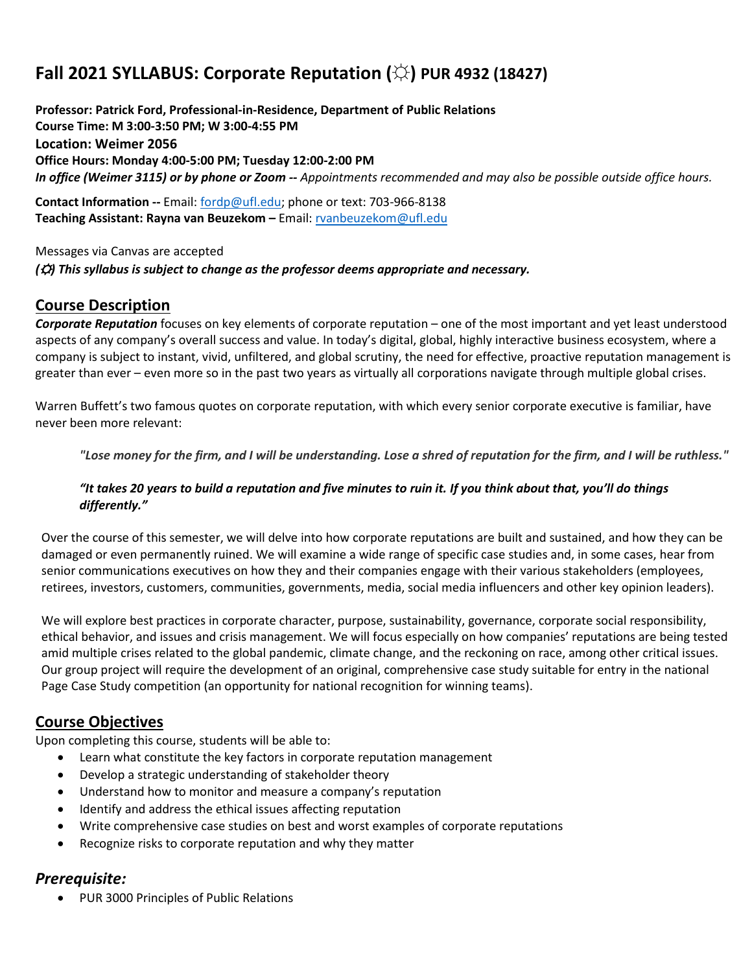# **Fall 2021 SYLLABUS: Corporate Reputation (☼) PUR 4932 (18427)**

**Professor: Patrick Ford, Professional-in-Residence, Department of Public Relations Course Time: M 3:00-3:50 PM; W 3:00-4:55 PM Location: Weimer 2056 Office Hours: Monday 4:00-5:00 PM; Tuesday 12:00-2:00 PM** *In office (Weimer 3115) or by phone or Zoom -- Appointments recommended and may also be possible outside office hours.*

**Contact Information --** Email: [fordp@ufl.edu;](mailto:fordp@ufl.edu) phone or text: 703-966-8138 **Teaching Assistant: Rayna van Beuzekom –** Email[: rvanbeuzekom@ufl.edu](mailto:rvanbeuzekom@ufl.edu) 

Messages via Canvas are accepted *(*☼*) This syllabus is subject to change as the professor deems appropriate and necessary.*

### **Course Description**

*Corporate Reputation* focuses on key elements of corporate reputation – one of the most important and yet least understood aspects of any company's overall success and value. In today's digital, global, highly interactive business ecosystem, where a company is subject to instant, vivid, unfiltered, and global scrutiny, the need for effective, proactive reputation management is greater than ever – even more so in the past two years as virtually all corporations navigate through multiple global crises.

Warren Buffett's two famous quotes on corporate reputation, with which every senior corporate executive is familiar, have never been more relevant:

"Lose money for the firm, and I will be understanding. Lose a shred of reputation for the firm, and I will be ruthless."

#### *"It takes 20 years to build a reputation and five minutes to ruin it. If you think about that, you'll do things differently."*

Over the course of this semester, we will delve into how corporate reputations are built and sustained, and how they can be damaged or even permanently ruined. We will examine a wide range of specific case studies and, in some cases, hear from senior communications executives on how they and their companies engage with their various stakeholders (employees, retirees, investors, customers, communities, governments, media, social media influencers and other key opinion leaders).

We will explore best practices in corporate character, purpose, sustainability, governance, corporate social responsibility, ethical behavior, and issues and crisis management. We will focus especially on how companies' reputations are being tested amid multiple crises related to the global pandemic, climate change, and the reckoning on race, among other critical issues. Our group project will require the development of an original, comprehensive case study suitable for entry in the national Page Case Study competition (an opportunity for national recognition for winning teams).

# **Course Objectives**

Upon completing this course, students will be able to:

- Learn what constitute the key factors in corporate reputation management
- Develop a strategic understanding of stakeholder theory
- Understand how to monitor and measure a company's reputation
- Identify and address the ethical issues affecting reputation
- Write comprehensive case studies on best and worst examples of corporate reputations
- Recognize risks to corporate reputation and why they matter

### *Prerequisite:*

• PUR 3000 Principles of Public Relations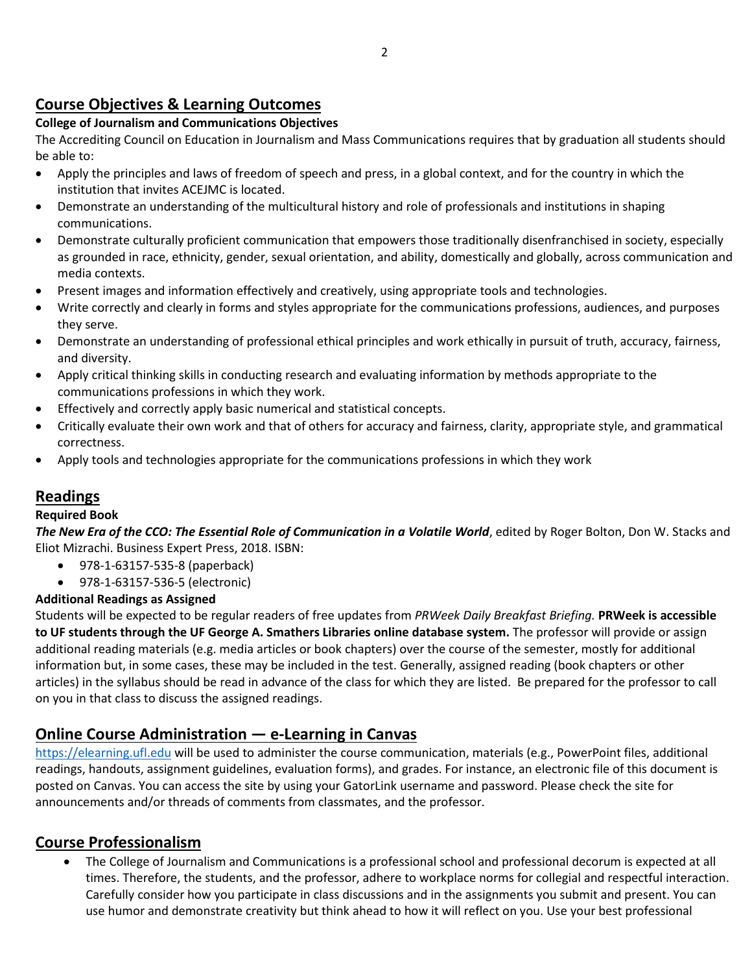# **Course Objectives & Learning Outcomes**

### **College of Journalism and Communications Objectives**

The Accrediting Council on Education in Journalism and Mass Communications requires that by graduation all students should be able to:

- Apply the principles and laws of freedom of speech and press, in a global context, and for the country in which the institution that invites ACEJMC is located.
- Demonstrate an understanding of the multicultural history and role of professionals and institutions in shaping communications.
- Demonstrate culturally proficient communication that empowers those traditionally disenfranchised in society, especially as grounded in race, ethnicity, gender, sexual orientation, and ability, domestically and globally, across communication and media contexts.
- Present images and information effectively and creatively, using appropriate tools and technologies.
- Write correctly and clearly in forms and styles appropriate for the communications professions, audiences, and purposes they serve.
- Demonstrate an understanding of professional ethical principles and work ethically in pursuit of truth, accuracy, fairness, and diversity.
- Apply critical thinking skills in conducting research and evaluating information by methods appropriate to the communications professions in which they work.
- Effectively and correctly apply basic numerical and statistical concepts.
- Critically evaluate their own work and that of others for accuracy and fairness, clarity, appropriate style, and grammatical correctness.
- Apply tools and technologies appropriate for the communications professions in which they work

# **Readings**

### **Required Book**

*The New Era of the CCO: The Essential Role of Communication in a Volatile World*, edited by Roger Bolton, Don W. Stacks and Eliot Mizrachi. Business Expert Press, 2018. ISBN:

- 978-1-63157-535-8 (paperback)
- 978-1-63157-536-5 (electronic)

### **Additional Readings as Assigned**

Students will be expected to be regular readers of free updates from *PRWeek Daily Breakfast Briefing.* **PRWeek is accessible to UF students through the UF George A. Smathers Libraries online database system.** The professor will provide or assign additional reading materials (e.g. media articles or book chapters) over the course of the semester, mostly for additional information but, in some cases, these may be included in the test. Generally, assigned reading (book chapters or other articles) in the syllabus should be read in advance of the class for which they are listed. Be prepared for the professor to call on you in that class to discuss the assigned readings.

# **Online Course Administration — e-Learning in Canvas**

[https://elearning.ufl.edu](https://elearning.ufl.edu/) will be used to administer the course communication, materials (e.g., PowerPoint files, additional readings, handouts, assignment guidelines, evaluation forms), and grades. For instance, an electronic file of this document is posted on Canvas. You can access the site by using your GatorLink username and password. Please check the site for announcements and/or threads of comments from classmates, and the professor.

# **Course Professionalism**

• The College of Journalism and Communications is a professional school and professional decorum is expected at all times. Therefore, the students, and the professor, adhere to workplace norms for collegial and respectful interaction. Carefully consider how you participate in class discussions and in the assignments you submit and present. You can use humor and demonstrate creativity but think ahead to how it will reflect on you. Use your best professional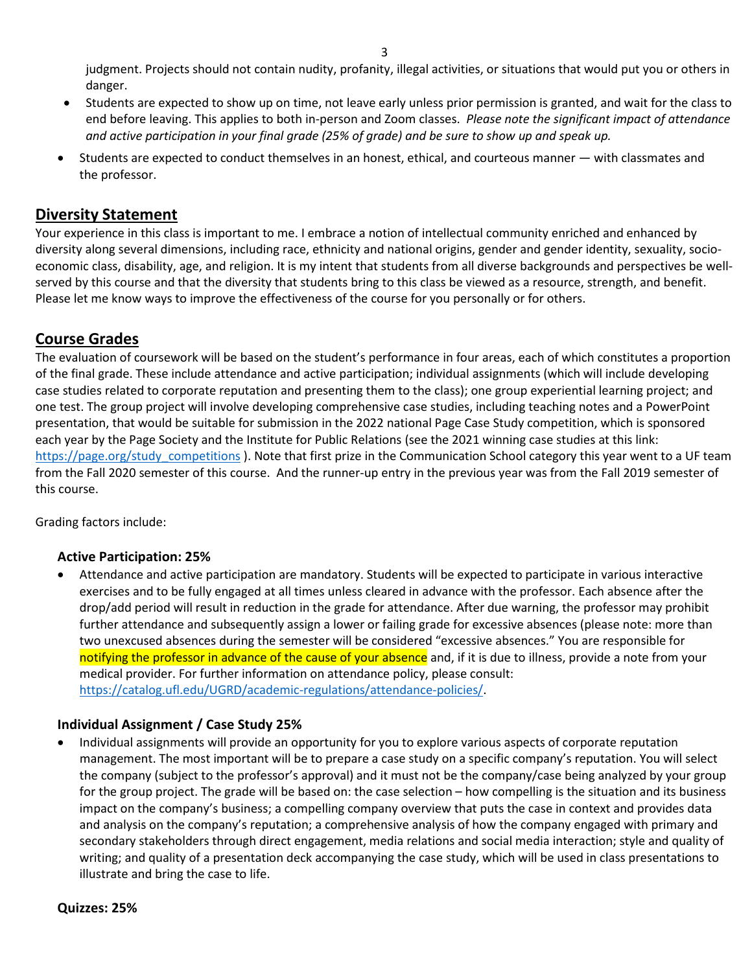judgment. Projects should not contain nudity, profanity, illegal activities, or situations that would put you or others in danger.

- Students are expected to show up on time, not leave early unless prior permission is granted, and wait for the class to end before leaving. This applies to both in-person and Zoom classes. *Please note the significant impact of attendance and active participation in your final grade (25% of grade) and be sure to show up and speak up.*
- Students are expected to conduct themselves in an honest, ethical, and courteous manner with classmates and the professor.

### **Diversity Statement**

Your experience in this class is important to me. I embrace a notion of intellectual community enriched and enhanced by diversity along several dimensions, including race, ethnicity and national origins, gender and gender identity, sexuality, socioeconomic class, disability, age, and religion. It is my intent that students from all diverse backgrounds and perspectives be wellserved by this course and that the diversity that students bring to this class be viewed as a resource, strength, and benefit. Please let me know ways to improve the effectiveness of the course for you personally or for others.

# **Course Grades**

The evaluation of coursework will be based on the student's performance in four areas, each of which constitutes a proportion of the final grade. These include attendance and active participation; individual assignments (which will include developing case studies related to corporate reputation and presenting them to the class); one group experiential learning project; and one test. The group project will involve developing comprehensive case studies, including teaching notes and a PowerPoint presentation, that would be suitable for submission in the 2022 national Page Case Study competition, which is sponsored each year by the Page Society and the Institute for Public Relations (see the 2021 winning case studies at this link: [https://page.org/study\\_competitions](https://page.org/study_competitions) ). Note that first prize in the Communication School category this year went to a UF team from the Fall 2020 semester of this course. And the runner-up entry in the previous year was from the Fall 2019 semester of this course.

Grading factors include:

#### **Active Participation: 25%**

• Attendance and active participation are mandatory. Students will be expected to participate in various interactive exercises and to be fully engaged at all times unless cleared in advance with the professor. Each absence after the drop/add period will result in reduction in the grade for attendance. After due warning, the professor may prohibit further attendance and subsequently assign a lower or failing grade for excessive absences (please note: more than two unexcused absences during the semester will be considered "excessive absences." You are responsible for notifying the professor in advance of the cause of your absence and, if it is due to illness, provide a note from your medical provider. For further information on attendance policy, please consult: [https://catalog.ufl.edu/UGRD/academic-regulations/attendance-policies/.](https://catalog.ufl.edu/UGRD/academic-regulations/attendance-policies/)

#### **Individual Assignment / Case Study 25%**

• Individual assignments will provide an opportunity for you to explore various aspects of corporate reputation management. The most important will be to prepare a case study on a specific company's reputation. You will select the company (subject to the professor's approval) and it must not be the company/case being analyzed by your group for the group project. The grade will be based on: the case selection – how compelling is the situation and its business impact on the company's business; a compelling company overview that puts the case in context and provides data and analysis on the company's reputation; a comprehensive analysis of how the company engaged with primary and secondary stakeholders through direct engagement, media relations and social media interaction; style and quality of writing; and quality of a presentation deck accompanying the case study, which will be used in class presentations to illustrate and bring the case to life.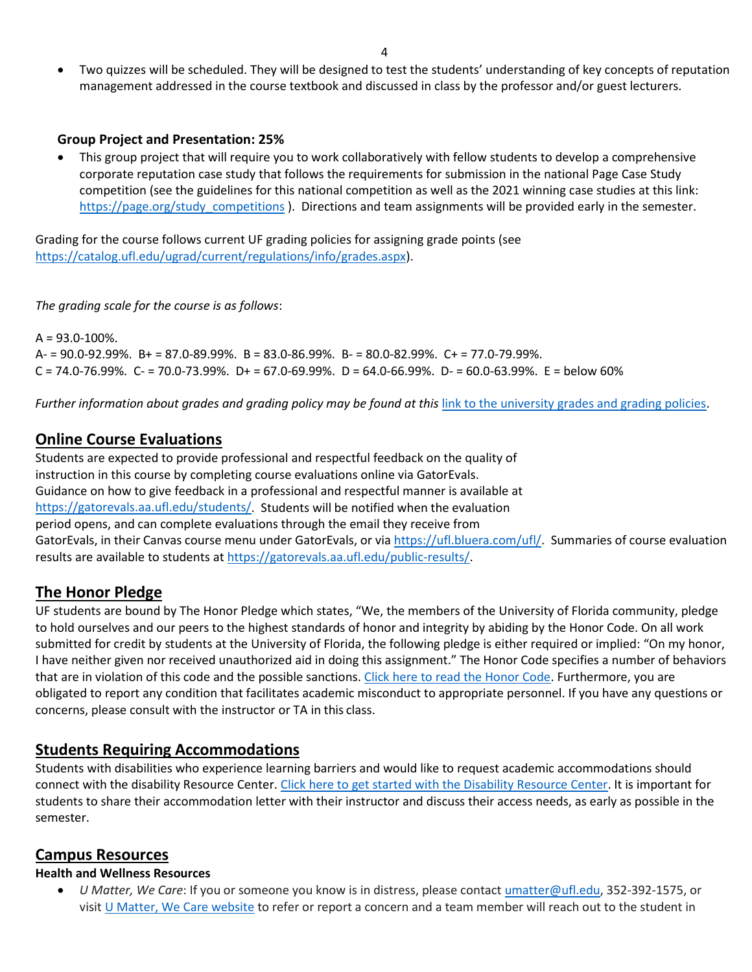• Two quizzes will be scheduled. They will be designed to test the students' understanding of key concepts of reputation management addressed in the course textbook and discussed in class by the professor and/or guest lecturers.

#### **Group Project and Presentation: 25%**

• This group project that will require you to work collaboratively with fellow students to develop a comprehensive corporate reputation case study that follows the requirements for submission in the national Page Case Study competition (see the guidelines for this national competition as well as the 2021 winning case studies at this link: https://page.org/study competitions ). Directions and team assignments will be provided early in the semester.

Grading for the course follows current UF grading policies for assigning grade points (see [https://catalog.ufl.edu/ugrad/current/regulations/info/grades.aspx\)](https://catalog.ufl.edu/ugrad/current/regulations/info/grades.aspx).

*The grading scale for the course is as follows*:

 $A = 93.0 - 100\%$ .  $A = 90.0 - 92.99\%$ .  $B = 87.0 - 89.99\%$ .  $B = 83.0 - 86.99\%$ .  $B = 80.0 - 82.99\%$ .  $C + = 77.0 - 79.99\%$ .  $C = 74.0 - 76.99\%$ .  $C = 70.0 - 73.99\%$ .  $D + 56.0 - 69.99\%$ .  $D = 64.0 - 66.99\%$ .  $D - 60.0 - 63.99\%$ .  $E =$  below 60%

*Further information about grades and grading policy may be found at this* [link to the university grades and grading policies.](https://catalog.ufl.edu/UGRD/academic-regulations/grades-grading-policies/)

### **Online Course Evaluations**

Students are expected to provide professional and respectful feedback on the quality of instruction in this course by completing course evaluations online via GatorEvals. Guidance on how to give feedback in a professional and respectful manner is available at [https://gatorevals.aa.ufl.edu/students/.](https://gatorevals.aa.ufl.edu/students/) Students will be notified when the evaluation period opens, and can complete evaluations through the email they receive from GatorEvals, in their Canvas course menu under GatorEvals, or via [https://ufl.bluera.com/ufl/.](https://ufl.bluera.com/ufl/) Summaries of course evaluation results are available to students at [https://gatorevals.aa.ufl.edu/public-results/.](https://gatorevals.aa.ufl.edu/public-results/)

# **The Honor Pledge**

UF students are bound by The Honor Pledge which states, "We, the members of the University of Florida community, pledge to hold ourselves and our peers to the highest standards of honor and integrity by abiding by the Honor Code. On all work submitted for credit by students at the University of Florida, the following pledge is either required or implied: "On my honor, I have neither given nor received unauthorized aid in doing this assignment." The Honor Code specifies a number of behaviors that are in violation of this code and the possible sanctions[. Click here to read the Honor Code.](https://sccr.dso.ufl.edu/process/student-conduct-code/) Furthermore, you are obligated to report any condition that facilitates academic misconduct to appropriate personnel. If you have any questions or concerns, please consult with the instructor or TA in this class.

# **Students Requiring Accommodations**

Students with disabilities who experience learning barriers and would like to request academic accommodations should connect with the disability Resource Center[. Click here to get started with the Disability Resource Center.](https://disability.ufl.edu/students/get-started/) It is important for students to share their accommodation letter with their instructor and discuss their access needs, as early as possible in the semester.

### **Campus Resources**

#### **Health and Wellness Resources**

• *U Matter, We Care*: If you or someone you know is in distress, please contact [umatter@ufl.edu, 3](mailto:umatter@ufl.edu)52-392-1575, or visit [U Matter, We Care website](https://umatter.ufl.edu/) to refer or report a concern and a team member will reach out to the student in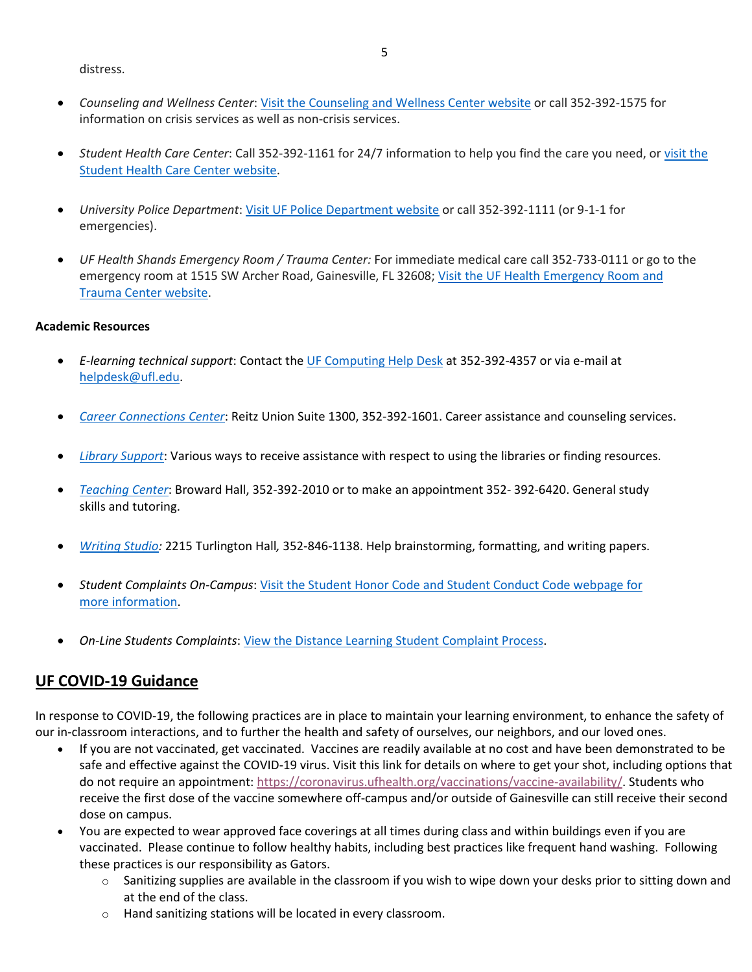distress.

- *Counseling and Wellness Center*: [Visit the Counseling and Wellness Center website](https://counseling.ufl.edu/) or call 352-392-1575 for information on crisis services as well as non-crisis services.
- *Student Health Care Center*: Call 352-392-1161 for 24/7 information to help you find the care you need, or visit the [Student Health Care Center website.](https://shcc.ufl.edu/)
- *University Police Department*: [Visit UF Police Department website](https://police.ufl.edu/) or call 352-392-1111 (or 9-1-1 for emergencies).
- *UF Health Shands Emergency Room / Trauma Center:* For immediate medical care call 352-733-0111 or go to the emergency room at 1515 SW Archer Road, Gainesville, FL 32608; Visit the UF Health Emergency Room and [Trauma Center website.](https://ufhealth.org/emergency-room-trauma-center)

#### **Academic Resources**

- *E-learning technical support*: Contact th[e UF Computing Help Desk](http://helpdesk.ufl.edu/) at 352-392-4357 or via e-mail at [helpdesk@ufl.edu.](mailto:helpdesk@ufl.edu)
- *[Career Connections Center](https://career.ufl.edu/)*: Reitz Union Suite 1300, 352-392-1601. Career assistance and counseling services.
- *[Library Support](https://cms.uflib.ufl.edu/ask)*: Various ways to receive assistance with respect to using the libraries or finding resources.
- *[Teaching Center](https://teachingcenter.ufl.edu/)*: Broward Hall, 352-392-2010 or to make an appointment 352- 392-6420. General study skills and tutoring.
- *Writing Studio:* 2215 Turlington Hall*,* 352-846-1138. Help brainstorming, formatting, and writing papers.
- *Student Complaints On-Campus*: [Visit the Student Honor Code and Student Conduct Code webpage for](https://sccr.dso.ufl.edu/policies/student-honor-%20code-student-conduct-code/)  [more information.](https://sccr.dso.ufl.edu/policies/student-honor-%20code-student-conduct-code/)
- *On-Line Students Complaints*[: View the Distance Learning Student Complaint Process.](https://distance.ufl.edu/getting-help/student-complaint-process/)

### **UF COVID-19 Guidance**

In response to COVID-19, the following practices are in place to maintain your learning environment, to enhance the safety of our in-classroom interactions, and to further the health and safety of ourselves, our neighbors, and our loved ones.

- If you are not vaccinated, get vaccinated. Vaccines are readily available at no cost and have been demonstrated to be safe and effective against the COVID-19 virus. Visit this link for details on where to get your shot, including options that do not require an appointment: [https://coronavirus.ufhealth.org/vaccinations/vaccine-availability/.](https://coronavirus.ufhealth.org/vaccinations/vaccine-availability/) Students who receive the first dose of the vaccine somewhere off-campus and/or outside of Gainesville can still receive their second dose on campus.
- You are expected to wear approved face coverings at all times during class and within buildings even if you are vaccinated. Please continue to follow healthy habits, including best practices like frequent hand washing. Following these practices is our responsibility as Gators.
	- $\circ$  Sanitizing supplies are available in the classroom if you wish to wipe down your desks prior to sitting down and at the end of the class.
	- o Hand sanitizing stations will be located in every classroom.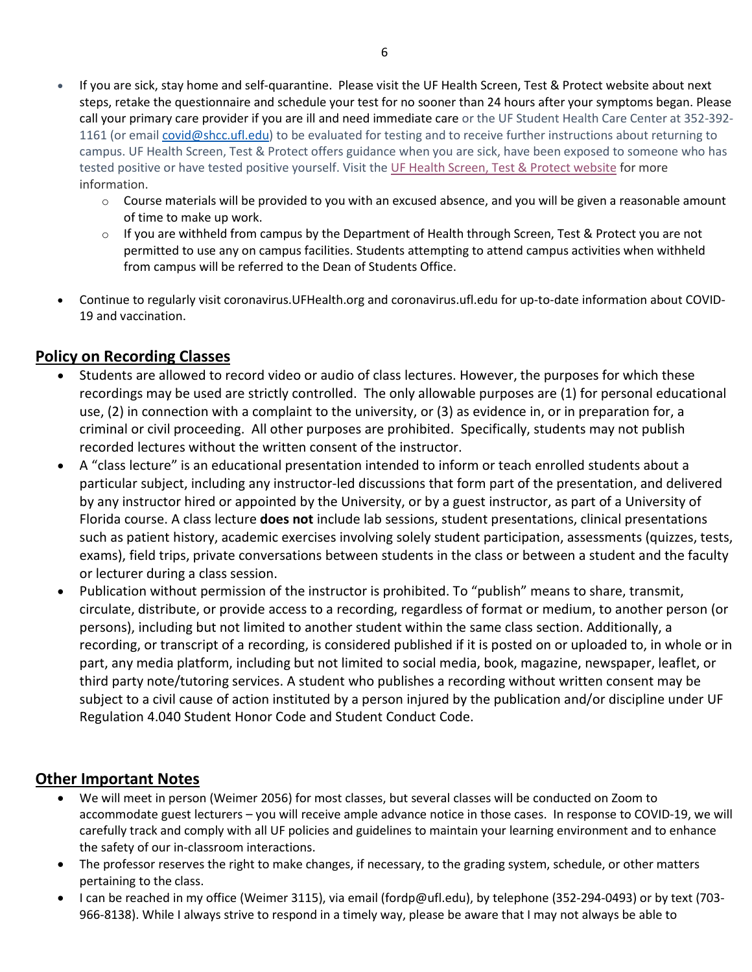- If you are sick, stay home and self-quarantine. Please visit the UF Health Screen, Test & Protect website about next steps, retake the questionnaire and schedule your test for no sooner than 24 hours after your symptoms began. Please call your primary care provider if you are ill and need immediate care or the UF Student Health Care Center at 352-392- 1161 (or email [covid@shcc.ufl.edu\)](mailto:covid@shcc.ufl.edu) to be evaluated for testing and to receive further instructions about returning to campus. UF Health Screen, Test & Protect offers guidance when you are sick, have been exposed to someone who has tested positive or have tested positive yourself. Visit the [UF Health Screen, Test & Protect website](https://click.info.gator360.ufl.edu/?qs=8f0d5e01a3f7385148f144e2089093522a358a8d85cb9db73c31675d3c5e5c0d27748d40c212f544822551342f1912ea5b4f2b890d5952e8) for more information.
	- $\circ$  Course materials will be provided to you with an excused absence, and you will be given a reasonable amount of time to make up work.
	- $\circ$  If you are withheld from campus by the Department of Health through Screen, Test & Protect you are not permitted to use any on campus facilities. Students attempting to attend campus activities when withheld from campus will be referred to the Dean of Students Office.
- Continue to regularly visit coronavirus.UFHealth.org and coronavirus.ufl.edu for up-to-date information about COVID-19 and vaccination.

# **Policy on Recording Classes**

- Students are allowed to record video or audio of class lectures. However, the purposes for which these recordings may be used are strictly controlled. The only allowable purposes are (1) for personal educational use, (2) in connection with a complaint to the university, or (3) as evidence in, or in preparation for, a criminal or civil proceeding. All other purposes are prohibited. Specifically, students may not publish recorded lectures without the written consent of the instructor.
- A "class lecture" is an educational presentation intended to inform or teach enrolled students about a particular subject, including any instructor-led discussions that form part of the presentation, and delivered by any instructor hired or appointed by the University, or by a guest instructor, as part of a University of Florida course. A class lecture **does not** include lab sessions, student presentations, clinical presentations such as patient history, academic exercises involving solely student participation, assessments (quizzes, tests, exams), field trips, private conversations between students in the class or between a student and the faculty or lecturer during a class session.
- Publication without permission of the instructor is prohibited. To "publish" means to share, transmit, circulate, distribute, or provide access to a recording, regardless of format or medium, to another person (or persons), including but not limited to another student within the same class section. Additionally, a recording, or transcript of a recording, is considered published if it is posted on or uploaded to, in whole or in part, any media platform, including but not limited to social media, book, magazine, newspaper, leaflet, or third party note/tutoring services. A student who publishes a recording without written consent may be subject to a civil cause of action instituted by a person injured by the publication and/or discipline under UF Regulation 4.040 Student Honor Code and Student Conduct Code.

### **Other Important Notes**

- We will meet in person (Weimer 2056) for most classes, but several classes will be conducted on Zoom to accommodate guest lecturers – you will receive ample advance notice in those cases. In response to COVID-19, we will carefully track and comply with all UF policies and guidelines to maintain your learning environment and to enhance the safety of our in-classroom interactions.
- The professor reserves the right to make changes, if necessary, to the grading system, schedule, or other matters pertaining to the class.
- I can be reached in my office (Weimer 3115), via email (fordp@ufl.edu), by telephone (352-294-0493) or by text (703- 966-8138). While I always strive to respond in a timely way, please be aware that I may not always be able to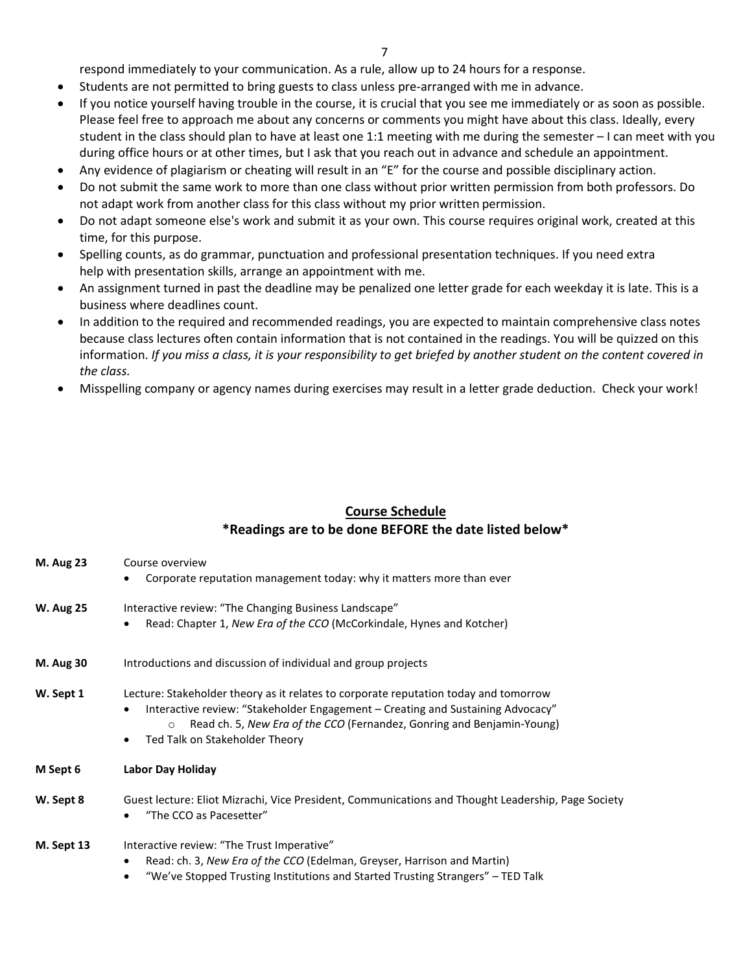7

respond immediately to your communication. As a rule, allow up to 24 hours for a response.

- Students are not permitted to bring guests to class unless pre-arranged with me in advance.
- If you notice yourself having trouble in the course, it is crucial that you see me immediately or as soon as possible. Please feel free to approach me about any concerns or comments you might have about this class. Ideally, every student in the class should plan to have at least one 1:1 meeting with me during the semester – I can meet with you during office hours or at other times, but I ask that you reach out in advance and schedule an appointment.
- Any evidence of plagiarism or cheating will result in an "E" for the course and possible disciplinary action.
- Do not submit the same work to more than one class without prior written permission from both professors. Do not adapt work from another class for this class without my prior written permission.
- Do not adapt someone else's work and submit it as your own. This course requires original work, created at this time, for this purpose.
- Spelling counts, as do grammar, punctuation and professional presentation techniques. If you need extra help with presentation skills, arrange an appointment with me.
- An assignment turned in past the deadline may be penalized one letter grade for each weekday it is late. This is a business where deadlines count.
- In addition to the required and recommended readings, you are expected to maintain comprehensive class notes because class lectures often contain information that is not contained in the readings. You will be quizzed on this information. *If you miss a class, it is your responsibility to get briefed by another student on the content covered in the class.*
- Misspelling company or agency names during exercises may result in a letter grade deduction. Check your work!

#### **Course Schedule \*Readings are to be done BEFORE the date listed below\***

| <b>M. Aug 23</b> | Course overview<br>Corporate reputation management today: why it matters more than ever                                                                                                                                                                                                                     |
|------------------|-------------------------------------------------------------------------------------------------------------------------------------------------------------------------------------------------------------------------------------------------------------------------------------------------------------|
| <b>W. Aug 25</b> | Interactive review: "The Changing Business Landscape"<br>Read: Chapter 1, New Era of the CCO (McCorkindale, Hynes and Kotcher)<br>$\bullet$                                                                                                                                                                 |
| <b>M. Aug 30</b> | Introductions and discussion of individual and group projects                                                                                                                                                                                                                                               |
| W. Sept 1        | Lecture: Stakeholder theory as it relates to corporate reputation today and tomorrow<br>Interactive review: "Stakeholder Engagement - Creating and Sustaining Advocacy"<br>$\bullet$<br>Read ch. 5, New Era of the CCO (Fernandez, Gonring and Benjamin-Young)<br>$\circ$<br>Ted Talk on Stakeholder Theory |
| M Sept 6         | Labor Day Holiday                                                                                                                                                                                                                                                                                           |
| W. Sept 8        | Guest lecture: Eliot Mizrachi, Vice President, Communications and Thought Leadership, Page Society<br>"The CCO as Pacesetter"<br>٠                                                                                                                                                                          |
| M. Sept 13       | Interactive review: "The Trust Imperative"<br>Read: ch. 3, New Era of the CCO (Edelman, Greyser, Harrison and Martin)<br>$\bullet$<br>"We've Stopped Trusting Institutions and Started Trusting Strangers" – TED Talk<br>$\bullet$                                                                          |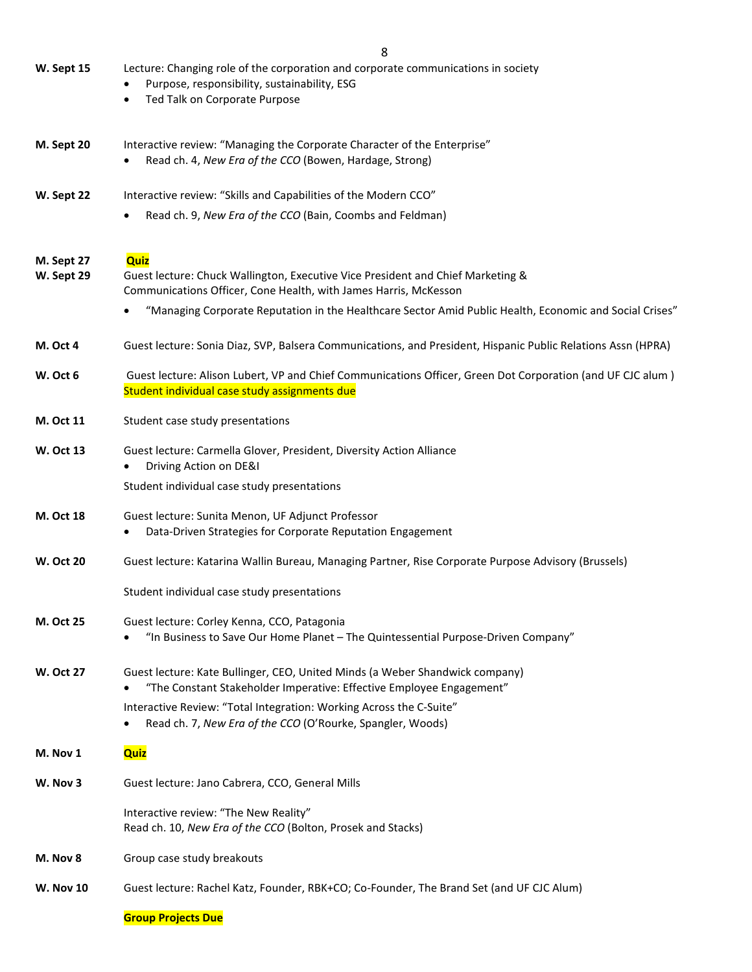**W. Sept 15** Lecture: Changing role of the corporation and corporate communications in society

|                          | Purpose, responsibility, sustainability, ESG<br>٠<br>Ted Talk on Corporate Purpose                                                                          |
|--------------------------|-------------------------------------------------------------------------------------------------------------------------------------------------------------|
| M. Sept 20               | Interactive review: "Managing the Corporate Character of the Enterprise"<br>Read ch. 4, New Era of the CCO (Bowen, Hardage, Strong)                         |
| W. Sept 22               | Interactive review: "Skills and Capabilities of the Modern CCO"                                                                                             |
|                          | Read ch. 9, New Era of the CCO (Bain, Coombs and Feldman)                                                                                                   |
| M. Sept 27<br>W. Sept 29 | Quiz<br>Guest lecture: Chuck Wallington, Executive Vice President and Chief Marketing &<br>Communications Officer, Cone Health, with James Harris, McKesson |
|                          | "Managing Corporate Reputation in the Healthcare Sector Amid Public Health, Economic and Social Crises"                                                     |
| <b>M. Oct 4</b>          | Guest lecture: Sonia Diaz, SVP, Balsera Communications, and President, Hispanic Public Relations Assn (HPRA)                                                |
| W. Oct 6                 | Guest lecture: Alison Lubert, VP and Chief Communications Officer, Green Dot Corporation (and UF CJC alum)<br>Student individual case study assignments due |
| M. Oct 11                | Student case study presentations                                                                                                                            |
| <b>W. Oct 13</b>         | Guest lecture: Carmella Glover, President, Diversity Action Alliance<br>Driving Action on DE&I                                                              |
|                          | Student individual case study presentations                                                                                                                 |
| M. Oct 18                | Guest lecture: Sunita Menon, UF Adjunct Professor<br>Data-Driven Strategies for Corporate Reputation Engagement<br>$\bullet$                                |
| <b>W. Oct 20</b>         | Guest lecture: Katarina Wallin Bureau, Managing Partner, Rise Corporate Purpose Advisory (Brussels)                                                         |
|                          | Student individual case study presentations                                                                                                                 |
| <b>M. Oct 25</b>         | Guest lecture: Corley Kenna, CCO, Patagonia<br>"In Business to Save Our Home Planet - The Quintessential Purpose-Driven Company"<br>٠                       |
| <b>W. Oct 27</b>         | Guest lecture: Kate Bullinger, CEO, United Minds (a Weber Shandwick company)<br>"The Constant Stakeholder Imperative: Effective Employee Engagement"        |
|                          | Interactive Review: "Total Integration: Working Across the C-Suite"<br>Read ch. 7, New Era of the CCO (O'Rourke, Spangler, Woods)                           |
| M. Nov 1                 | <b>Quiz</b>                                                                                                                                                 |
| W. Nov 3                 | Guest lecture: Jano Cabrera, CCO, General Mills                                                                                                             |
|                          | Interactive review: "The New Reality"<br>Read ch. 10, New Era of the CCO (Bolton, Prosek and Stacks)                                                        |
| M. Nov 8                 | Group case study breakouts                                                                                                                                  |
| <b>W. Nov 10</b>         | Guest lecture: Rachel Katz, Founder, RBK+CO; Co-Founder, The Brand Set (and UF CJC Alum)                                                                    |

#### **Group Projects Due**